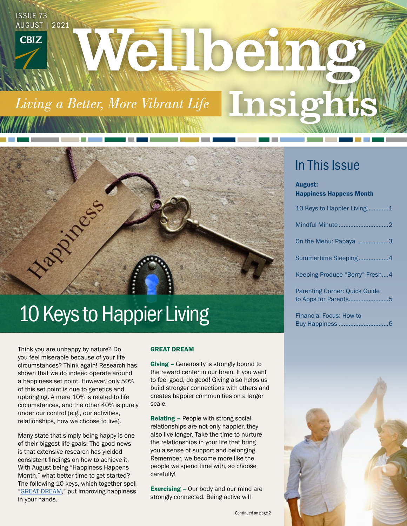# ISSUE 73 AUGUST | 2021 Welber **CBIZ** Insig Living a Better, More Vibrant Life

# Happy Cos 10 Keys to Happier Living

Think you are unhappy by nature? Do you feel miserable because of your life circumstances? Think again! Research has shown that we do indeed operate around a happiness set point. However, only 50% of this set point is due to genetics and upbringing. A mere 10% is related to life circumstances, and the other 40% is purely under our control (e.g., our activities, relationships, how we choose to live).

Many state that simply being happy is one of their biggest life goals. The good news is that extensive research has yielded consistent findings on how to achieve it. With August being "Happiness Happens Month," what better time to get started? The following 10 keys, which together spell ["GREAT DREAM,"](https://www.actionforhappiness.org/10-keys-to-happier-living) put improving happiness in your hands.

#### GREAT DREAM

Giving - Generosity is strongly bound to the reward center in our brain. If you want to feel good, do good! Giving also helps us build stronger connections with others and creates happier communities on a larger scale.

Relating – People with strong social relationships are not only happier, they also live longer. Take the time to nurture the relationships in your life that bring you a sense of support and belonging. Remember, we become more like the people we spend time with, so choose carefully!

Exercising – Our body and our mind are strongly connected. Being active will

## In This Issue

#### August:

Happiness Happens Month

| 10 Keys to Happier Living1           |  |
|--------------------------------------|--|
| Mindful Minute 2                     |  |
| On the Menu: Papaya 3                |  |
| Summertime Sleeping4                 |  |
| Keeping Produce "Berry" Fresh4       |  |
| <b>Parenting Corner: Quick Guide</b> |  |

Financial Focus: How to Buy Happiness ..............................6

to Apps for Parents........................5

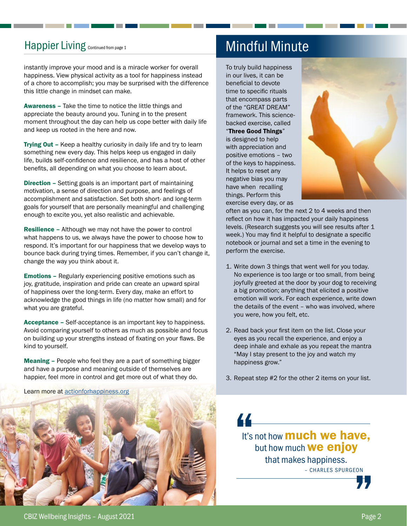## Happier Living Continued from page 1

instantly improve your mood and is a miracle worker for overall happiness. View physical activity as a tool for happiness instead of a chore to accomplish; you may be surprised with the difference this little change in mindset can make.

Awareness – Take the time to notice the little things and appreciate the beauty around you. Tuning in to the present moment throughout the day can help us cope better with daily life and keep us rooted in the here and now.

**Trying Out - Keep a healthy curiosity in daily life and try to learn** something new every day. This helps keep us engaged in daily life, builds self-confidence and resilience, and has a host of other benefits, all depending on what you choose to learn about.

Direction – Setting goals is an important part of maintaining motivation, a sense of direction and purpose, and feelings of accomplishment and satisfaction. Set both short- and long-term goals for yourself that are personally meaningful and challenging enough to excite you, yet also realistic and achievable.

Resilience – Although we may not have the power to control what happens to us, we always have the power to choose how to respond. It's important for our happiness that we develop ways to bounce back during trying times. Remember, if you can't change it, change the way you think about it.

Emotions – Regularly experiencing positive emotions such as joy, gratitude, inspiration and pride can create an upward spiral of happiness over the long-term. Every day, make an effort to acknowledge the good things in life (no matter how small) and for what you are grateful.

Acceptance – Self-acceptance is an important key to happiness. Avoid comparing yourself to others as much as possible and focus on building up your strengths instead of fixating on your flaws. Be kind to yourself.

Meaning – People who feel they are a part of something bigger and have a purpose and meaning outside of themselves are happier, feel more in control and get more out of what they do.

Learn more at [actionforhappiness.org](https://www.actionforhappiness.org/)



## Mindful Minute

To truly build happiness in our lives, it can be beneficial to devote time to specific rituals that encompass parts of the "GREAT DREAM" framework. This sciencebacked exercise, called "Three Good Things" is designed to help with appreciation and positive emotions – two of the keys to happiness.





often as you can, for the next 2 to 4 weeks and then reflect on how it has impacted your daily happiness levels. (Research suggests you will see results after 1 week.) You may find it helpful to designate a specific notebook or journal and set a time in the evening to perform the exercise.

- 1. Write down 3 things that went well for you today. No experience is too large or too small, from being joyfully greeted at the door by your dog to receiving a big promotion; anything that elicited a positive emotion will work. For each experience, write down the details of the event – who was involved, where you were, how you felt, etc.
- 2. Read back your first item on the list. Close your eyes as you recall the experience, and enjoy a deep inhale and exhale as you repeat the mantra "May I stay present to the joy and watch my happiness grow."
- 3. Repeat step #2 for the other 2 items on your list.



"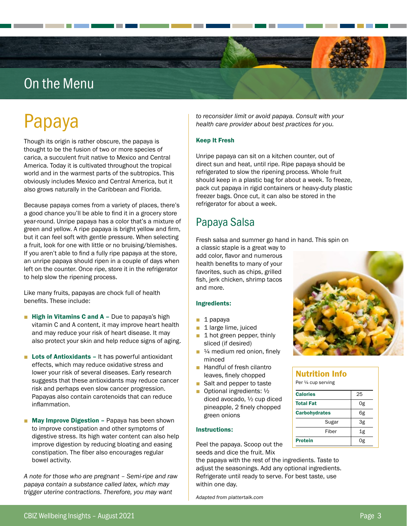## On the Menu

# Papaya

Though its origin is rather obscure, the papaya is thought to be the fusion of two or more species of carica, a succulent fruit native to Mexico and Central America. Today it is cultivated throughout the tropical world and in the warmest parts of the subtropics. This obviously includes Mexico and Central America, but it also grows naturally in the Caribbean and Florida.

Because papaya comes from a variety of places, there's a good chance you'll be able to find it in a grocery store year-round. Unripe papaya has a color that's a mixture of green and yellow. A ripe papaya is bright yellow and firm, but it can feel soft with gentle pressure. When selecting a fruit, look for one with little or no bruising/blemishes. If you aren't able to find a fully ripe papaya at the store, an unripe papaya should ripen in a couple of days when left on the counter. Once ripe, store it in the refrigerator to help slow the ripening process.

Like many fruits, papayas are chock full of health benefits. These include:

- **Example 1** High in Vitamins C and  $A Due to papaya's high$ vitamin C and A content, it may improve heart health and may reduce your risk of heart disease. It may also protect your skin and help reduce signs of aging.
- Lots of Antioxidants It has powerful antioxidant effects, which may reduce oxidative stress and lower your risk of several diseases. Early research suggests that these antioxidants may reduce cancer risk and perhaps even slow cancer progression. Papayas also contain carotenoids that can reduce inflammation.
- May Improve Digestion Papaya has been shown to improve constipation and other symptoms of digestive stress. Its high water content can also help improve digestion by reducing bloating and easing constipation. The fiber also encourages regular bowel activity.

*A note for those who are pregnant – Semi-ripe and raw papaya contain a substance called latex, which may trigger uterine contractions. Therefore, you may want* 

*to reconsider limit or avoid papaya. Consult with your health care provider about best practices for you.*

#### Keep It Fresh

Unripe papaya can sit on a kitchen counter, out of direct sun and heat, until ripe. Ripe papaya should be refrigerated to slow the ripening process. Whole fruit should keep in a plastic bag for about a week. To freeze, pack cut papaya in rigid containers or heavy-duty plastic freezer bags. Once cut, it can also be stored in the refrigerator for about a week.

## Papaya Salsa

Fresh salsa and summer go hand in hand. This spin on

a classic staple is a great way to add color, flavor and numerous health benefits to many of your favorites, such as chips, grilled fish, jerk chicken, shrimp tacos and more.

#### Ingredients:

- 1 papaya
- 1 large lime, juiced
- 1 hot green pepper, thinly sliced (if desired)
- $\blacksquare$  <sup>1/4</sup> medium red onion, finely minced
- Handful of fresh cilantro leaves, finely chopped
- Salt and pepper to taste
- Optional ingredients: 1/2 diced avocado, ½ cup diced pineapple, 2 finely chopped green onions

#### Instructions:

Peel the papaya. Scoop out the seeds and dice the fruit. Mix

the papaya with the rest of the ingredients. Taste to adjust the seasonings. Add any optional ingredients. Refrigerate until ready to serve. For best taste, use within one day.

*Adapted from plattertalk.com* 



#### Nutrition Info Per ¼ cup serving

| <b>Calories</b>      | 25 |
|----------------------|----|
| <b>Total Fat</b>     | 0g |
| <b>Carbohydrates</b> | 6g |
| Sugar                | 3g |
| Fiber                | 1g |
| <b>Protein</b>       | 0g |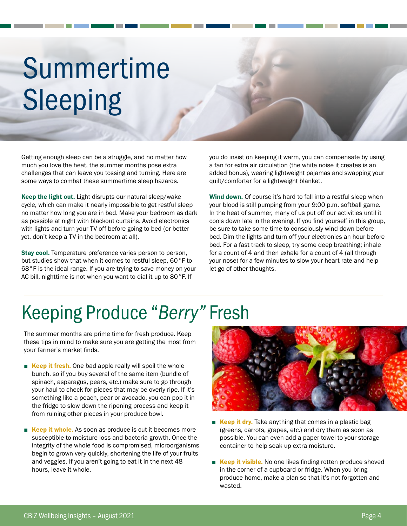# Summertime Sleeping

Getting enough sleep can be a struggle, and no matter how much you love the heat, the summer months pose extra challenges that can leave you tossing and turning. Here are some ways to combat these summertime sleep hazards.

Keep the light out. Light disrupts our natural sleep/wake cycle, which can make it nearly impossible to get restful sleep no matter how long you are in bed. Make your bedroom as dark as possible at night with blackout curtains. Avoid electronics with lights and turn your TV off before going to bed (or better yet, don't keep a TV in the bedroom at all).

Stay cool. Temperature preference varies person to person, but studies show that when it comes to restful sleep, 60°F to 68°F is the ideal range. If you are trying to save money on your AC bill, nighttime is not when you want to dial it up to 80°F. If

you do insist on keeping it warm, you can compensate by using a fan for extra air circulation (the white noise it creates is an added bonus), wearing lightweight pajamas and swapping your quilt/comforter for a lightweight blanket.

Wind down. Of course it's hard to fall into a restful sleep when your blood is still pumping from your 9:00 p.m. softball game. In the heat of summer, many of us put off our activities until it cools down late in the evening. If you find yourself in this group, be sure to take some time to consciously wind down before bed. Dim the lights and turn off your electronics an hour before bed. For a fast track to sleep, try some deep breathing; inhale for a count of 4 and then exhale for a count of 4 (all through your nose) for a few minutes to slow your heart rate and help let go of other thoughts.

# Keeping Produce "*Berry"* Fresh

The summer months are prime time for fresh produce. Keep these tips in mind to make sure you are getting the most from your farmer's market finds.

- Keep it fresh. One bad apple really will spoil the whole bunch, so if you buy several of the same item (bundle of spinach, asparagus, pears, etc.) make sure to go through your haul to check for pieces that may be overly ripe. If it's something like a peach, pear or avocado, you can pop it in the fridge to slow down the ripening process and keep it from ruining other pieces in your produce bowl.
- Keep it whole. As soon as produce is cut it becomes more susceptible to moisture loss and bacteria growth. Once the integrity of the whole food is compromised, microorganisms begin to grown very quickly, shortening the life of your fruits and veggies. If you aren't going to eat it in the next 48 hours, leave it whole.



- Keep it dry. Take anything that comes in a plastic bag (greens, carrots, grapes, etc.) and dry them as soon as possible. You can even add a paper towel to your storage container to help soak up extra moisture.
- Keep it visible. No one likes finding rotten produce shoved in the corner of a cupboard or fridge. When you bring produce home, make a plan so that it's not forgotten and wasted.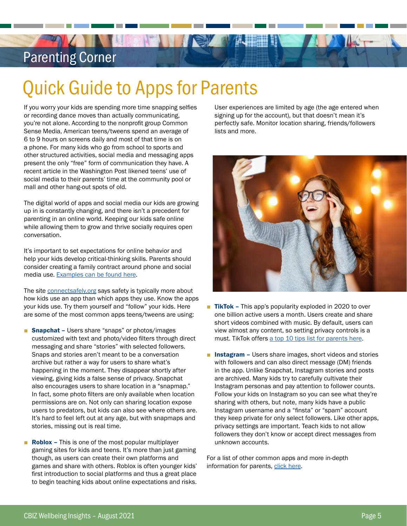## Parenting Corner

# Quick Guide to Apps for Parents

**THE HAND** 

If you worry your kids are spending more time snapping selfies or recording dance moves than actually communicating, you're not alone. According to the nonprofit group Common Sense Media, American teens/tweens spend an average of 6 to 9 hours on screens daily and most of that time is on a phone. For many kids who go from school to sports and other structured activities, social media and messaging apps present the only "free" form of communication they have. A recent article in the Washington Post likened teens' use of social media to their parents' time at the community pool or mall and other hang-out spots of old.

The digital world of apps and social media our kids are growing up in is constantly changing, and there isn't a precedent for parenting in an online world. Keeping our kids safe online while allowing them to grow and thrive socially requires open conversation.

It's important to set expectations for online behavior and help your kids develop critical-thinking skills. Parents should consider creating a family contract around phone and social media use. [Examples can be found here](https://www.safekids.com/family-contract-for-smartphone-use/).

The site [connectsafely.org](https://www.connectsafely.org/) says safety is typically more about how kids use an app than which apps they use. Know the apps your kids use. Try them yourself and "follow" your kids. Here are some of the most common apps teens/tweens are using:

- Snapchat Users share "snaps" or photos/images customized with text and photo/video filters through direct messaging and share "stories" with selected followers. Snaps and stories aren't meant to be a conversation archive but rather a way for users to share what's happening in the moment. They disappear shortly after viewing, giving kids a false sense of privacy. Snapchat also encourages users to share location in a "snapmap." In fact, some photo filters are only available when location permissions are on. Not only can sharing location expose users to predators, but kids can also see where others are. It's hard to feel left out at any age, but with snapmaps and stories, missing out is real time.
- **Roblox** This is one of the most popular multiplayer gaming sites for kids and teens. It's more than just gaming though, as users can create their own platforms and games and share with others. Roblox is often younger kids' first introduction to social platforms and thus a great place to begin teaching kids about online expectations and risks.

User experiences are limited by age (the age entered when signing up for the account), but that doesn't mean it's perfectly safe. Monitor location sharing, friends/followers lists and more.



- TikTok This app's popularity exploded in 2020 to over one billion active users a month. Users create and share short videos combined with music. By default, users can view almost any content, so setting privacy controls is a must. TikTok offers [a top 10 tips list for parents here.](https://newsroom.tiktok.com/en-us/tiktoks-top-10-tips-for-parents)
- Instagram Users share images, short videos and stories with followers and can also direct message (DM) friends in the app. Unlike Snapchat, Instagram stories and posts are archived. Many kids try to carefully cultivate their Instagram personas and pay attention to follower counts. Follow your kids on Instagram so you can see what they're sharing with others, but note, many kids have a public Instagram username and a "finsta" or "spam" account they keep private for only select followers. Like other apps, privacy settings are important. Teach kids to not allow followers they don't know or accept direct messages from unknown accounts.

For a list of other common apps and more in-depth information for parents, [click here.](https://www.connectsafely.org/parentguides/)